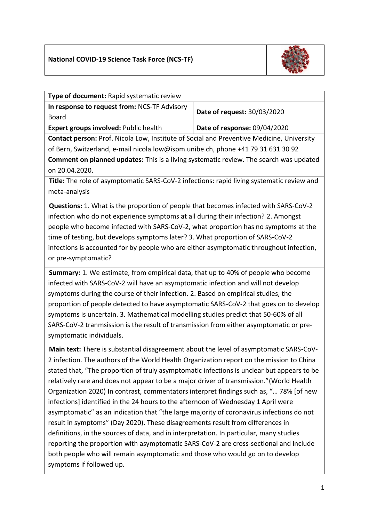### **National COVID-19 Science Task Force (NCS-TF)**



| Type of document: Rapid systematic review                                                 |                              |
|-------------------------------------------------------------------------------------------|------------------------------|
| In response to request from: NCS-TF Advisory                                              | Date of request: 30/03/2020  |
| <b>Board</b>                                                                              |                              |
| <b>Expert groups involved: Public health</b>                                              | Date of response: 09/04/2020 |
| Contact person: Prof. Nicola Low, Institute of Social and Preventive Medicine, University |                              |
| of Bern, Switzerland, e-mail nicola.low@ispm.unibe.ch, phone +41 79 31 631 30 92          |                              |
| Comment on planned updates: This is a living systematic review. The search was updated    |                              |
| on 20.04.2020.                                                                            |                              |
| Title: The role of asymptomatic SARS-CoV-2 infections: rapid living systematic review and |                              |
| meta-analysis                                                                             |                              |
| Questions: 1. What is the proportion of people that becomes infected with SARS-CoV-2      |                              |
| infection who do not experience symptoms at all during their infection? 2. Amongst        |                              |
| people who become infected with SARS-CoV-2, what proportion has no symptoms at the        |                              |
| time of testing, but develops symptoms later? 3. What proportion of SARS-CoV-2            |                              |
| infections is accounted for by people who are either asymptomatic throughout infection,   |                              |
| or pre-symptomatic?                                                                       |                              |
|                                                                                           |                              |
| Summary: 1. We estimate, from empirical data, that up to 40% of people who become         |                              |
| infected with SARS-CoV-2 will have an asymptomatic infection and will not develop         |                              |
| symptoms during the course of their infection. 2. Based on empirical studies, the         |                              |
| proportion of people detected to have asymptomatic SARS-CoV-2 that goes on to develop     |                              |
| symptoms is uncertain. 3. Mathematical modelling studies predict that 50-60% of all       |                              |
| SARS-CoV-2 tranmsission is the result of transmission from either asymptomatic or pre-    |                              |
| symptomatic individuals.                                                                  |                              |
| Main text: There is substantial disagreement about the level of asymptomatic SARS-CoV-    |                              |
|                                                                                           |                              |

2 infection. The authors of the World Health Organization report on the mission to China stated that, "The proportion of truly asymptomatic infections is unclear but appears to be relatively rare and does not appear to be a major driver of transmission."(World Health Organization 2020) In contrast, commentators interpret findings such as, "… 78% [of new infections] identified in the 24 hours to the afternoon of Wednesday 1 April were asymptomatic" as an indication that "the large majority of coronavirus infections do not result in symptoms" (Day 2020). These disagreements result from differences in definitions, in the sources of data, and in interpretation. In particular, many studies reporting the proportion with asymptomatic SARS-CoV-2 are cross-sectional and include both people who will remain asymptomatic and those who would go on to develop symptoms if followed up.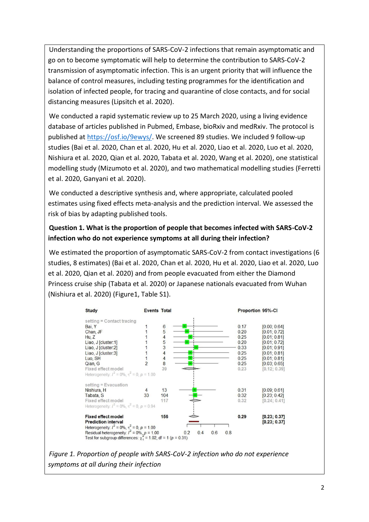Understanding the proportions of SARS-CoV-2 infections that remain asymptomatic and go on to become symptomatic will help to determine the contribution to SARS-CoV-2 transmission of asymptomatic infection. This is an urgent priority that will influence the balance of control measures, including testing programmes for the identification and isolation of infected people, for tracing and quarantine of close contacts, and for social distancing measures (Lipsitch et al. 2020).

We conducted a rapid systematic review up to 25 March 2020, using a living evidence database of articles published in Pubmed, Embase, bioRxiv and medRxiv. The protocol is published at [https://osf.io/9ewys/.](https://osf.io/9ewys/) We screened 89 studies. We included 9 follow-up studies (Bai et al. 2020, Chan et al. 2020, Hu et al. 2020, Liao et al. 2020, Luo et al. 2020, Nishiura et al. 2020, Qian et al. 2020, Tabata et al. 2020, Wang et al. 2020), one statistical modelling study (Mizumoto et al. 2020), and two mathematical modelling studies (Ferretti et al. 2020, Ganyani et al. 2020).

We conducted a descriptive synthesis and, where appropriate, calculated pooled estimates using fixed effects meta-analysis and the prediction interval. We assessed the risk of bias by adapting published tools.

# **Question 1. What is the proportion of people that becomes infected with SARS-CoV-2 infection who do not experience symptoms at all during their infection?**

We estimated the proportion of asymptomatic SARS-CoV-2 from contact investigations (6 studies, 8 estimates) (Bai et al. 2020, Chan et al. 2020, Hu et al. 2020, Liao et al. 2020, Luo et al. 2020, Qian et al. 2020) and from people evacuated from either the Diamond Princess cruise ship (Tabata et al. 2020) or Japanese nationals evacuated from Wuhan (Nishiura et al. 2020) (Figure1, Table S1).



*Figure 1. Proportion of people with SARS-CoV-2 infection who do not experience symptoms at all during their infection*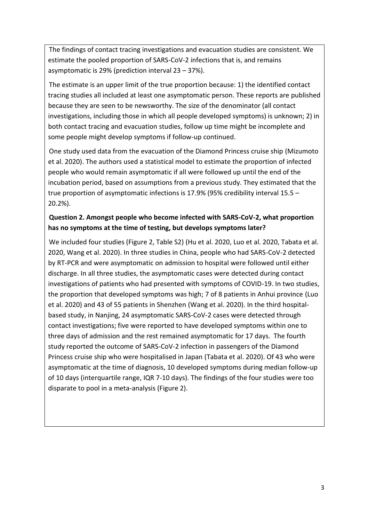The findings of contact tracing investigations and evacuation studies are consistent. We estimate the pooled proportion of SARS-CoV-2 infections that is, and remains asymptomatic is 29% (prediction interval 23 – 37%).

The estimate is an upper limit of the true proportion because: 1) the identified contact tracing studies all included at least one asymptomatic person. These reports are published because they are seen to be newsworthy. The size of the denominator (all contact investigations, including those in which all people developed symptoms) is unknown; 2) in both contact tracing and evacuation studies, follow up time might be incomplete and some people might develop symptoms if follow-up continued.

One study used data from the evacuation of the Diamond Princess cruise ship (Mizumoto et al. 2020). The authors used a statistical model to estimate the proportion of infected people who would remain asymptomatic if all were followed up until the end of the incubation period, based on assumptions from a previous study. They estimated that the true proportion of asymptomatic infections is 17.9% (95% credibility interval 15.5 – 20.2%).

## **Question 2. Amongst people who become infected with SARS-CoV-2, what proportion has no symptoms at the time of testing, but develops symptoms later?**

We included four studies (Figure 2, Table S2) (Hu et al. 2020, Luo et al. 2020, Tabata et al. 2020, Wang et al. 2020). In three studies in China, people who had SARS-CoV-2 detected by RT-PCR and were asymptomatic on admission to hospital were followed until either discharge. In all three studies, the asymptomatic cases were detected during contact investigations of patients who had presented with symptoms of COVID-19. In two studies, the proportion that developed symptoms was high; 7 of 8 patients in Anhui province (Luo et al. 2020) and 43 of 55 patients in Shenzhen (Wang et al. 2020). In the third hospitalbased study, in Nanjing, 24 asymptomatic SARS-CoV-2 cases were detected through contact investigations; five were reported to have developed symptoms within one to three days of admission and the rest remained asymptomatic for 17 days. The fourth study reported the outcome of SARS-CoV-2 infection in passengers of the Diamond Princess cruise ship who were hospitalised in Japan (Tabata et al. 2020). Of 43 who were asymptomatic at the time of diagnosis, 10 developed symptoms during median follow-up of 10 days (interquartile range, IQR 7-10 days). The findings of the four studies were too disparate to pool in a meta-analysis (Figure 2).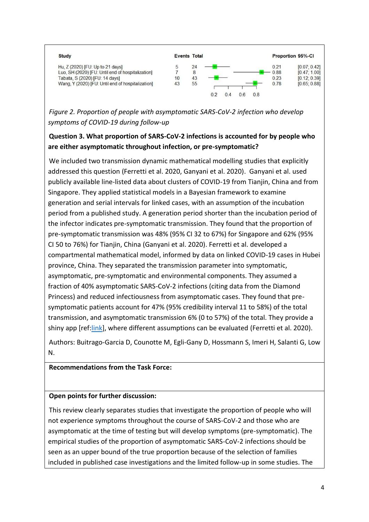

*Figure 2. Proportion of people with asymptomatic SARS-CoV-2 infection who develop symptoms of COVID-19 during follow-up*

## **Question 3. What proportion of SARS-CoV-2 infections is accounted for by people who are either asymptomatic throughout infection, or pre-symptomatic?**

We included two transmission dynamic mathematical modelling studies that explicitly addressed this question (Ferretti et al. 2020, Ganyani et al. 2020). Ganyani et al. used publicly available line-listed data about clusters of COVID-19 from Tianjin, China and from Singapore. They applied statistical models in a Bayesian framework to examine generation and serial intervals for linked cases, with an assumption of the incubation period from a published study. A generation period shorter than the incubation period of the infector indicates pre-symptomatic transmission. They found that the proportion of pre-symptomatic transmission was 48% (95% CI 32 to 67%) for Singapore and 62% (95% CI 50 to 76%) for Tianjin, China (Ganyani et al. 2020). Ferretti et al. developed a compartmental mathematical model, informed by data on linked COVID-19 cases in Hubei province, China. They separated the transmission parameter into symptomatic, asymptomatic, pre-symptomatic and environmental components. They assumed a fraction of 40% asymptomatic SARS-CoV-2 infections (citing data from the Diamond Princess) and reduced infectiousness from asymptomatic cases. They found that presymptomatic patients account for 47% (95% credibility interval 11 to 58%) of the total transmission, and asymptomatic transmission 6% (0 to 57%) of the total. They provide a shiny app [ref:*link*], where different assumptions can be evaluated (Ferretti et al. 2020).

Authors: Buitrago-Garcia D, Counotte M, Egli-Gany D, Hossmann S, Imeri H, Salanti G, Low N.

#### **Recommendations from the Task Force:**

## **Open points for further discussion:**

This review clearly separates studies that investigate the proportion of people who will not experience symptoms throughout the course of SARS-CoV-2 and those who are asymptomatic at the time of testing but will develop symptoms (pre-symptomatic). The empirical studies of the proportion of asymptomatic SARS-CoV-2 infections should be seen as an upper bound of the true proportion because of the selection of families included in published case investigations and the limited follow-up in some studies. The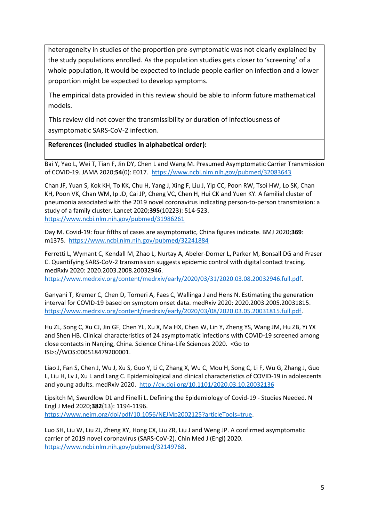heterogeneity in studies of the proportion pre-symptomatic was not clearly explained by the study populations enrolled. As the population studies gets closer to 'screening' of a whole population, it would be expected to include people earlier on infection and a lower proportion might be expected to develop symptoms.

The empirical data provided in this review should be able to inform future mathematical models.

This review did not cover the transmissibility or duration of infectiousness of asymptomatic SARS-CoV-2 infection.

#### **References (included studies in alphabetical order):**

Bai Y, Yao L, Wei T, Tian F, Jin DY, Chen L and Wang M. Presumed Asymptomatic Carrier Transmission of COVID-19. JAMA 2020;**54**(0): E017.<https://www.ncbi.nlm.nih.gov/pubmed/32083643>

Chan JF, Yuan S, Kok KH, To KK, Chu H, Yang J, Xing F, Liu J, Yip CC, Poon RW, Tsoi HW, Lo SK, Chan KH, Poon VK, Chan WM, Ip JD, Cai JP, Cheng VC, Chen H, Hui CK and Yuen KY. A familial cluster of pneumonia associated with the 2019 novel coronavirus indicating person-to-person transmission: a study of a family cluster. Lancet 2020;**395**(10223): 514-523. <https://www.ncbi.nlm.nih.gov/pubmed/31986261>

Day M. Covid-19: four fifths of cases are asymptomatic, China figures indicate. BMJ 2020;**369**: m1375. <https://www.ncbi.nlm.nih.gov/pubmed/32241884>

Ferretti L, Wymant C, Kendall M, Zhao L, Nurtay A, Abeler-Dorner L, Parker M, Bonsall DG and Fraser C. Quantifying SARS-CoV-2 transmission suggests epidemic control with digital contact tracing. medRxiv 2020: 2020.2003.2008.20032946.

[https://www.medrxiv.org/content/medrxiv/early/2020/03/31/2020.03.08.20032946.full.pdf.](https://www.medrxiv.org/content/medrxiv/early/2020/03/31/2020.03.08.20032946.full.pdf)

Ganyani T, Kremer C, Chen D, Torneri A, Faes C, Wallinga J and Hens N. Estimating the generation interval for COVID-19 based on symptom onset data. medRxiv 2020: 2020.2003.2005.20031815. [https://www.medrxiv.org/content/medrxiv/early/2020/03/08/2020.03.05.20031815.full.pdf.](https://www.medrxiv.org/content/medrxiv/early/2020/03/08/2020.03.05.20031815.full.pdf)

Hu ZL, Song C, Xu CJ, Jin GF, Chen YL, Xu X, Ma HX, Chen W, Lin Y, Zheng YS, Wang JM, Hu ZB, Yi YX and Shen HB. Clinical characteristics of 24 asymptomatic infections with COVID-19 screened among close contacts in Nanjing, China. Science China-Life Sciences 2020. <Go to ISI>://WOS:000518479200001.

Liao J, Fan S, Chen J, Wu J, Xu S, Guo Y, Li C, Zhang X, Wu C, Mou H, Song C, Li F, Wu G, Zhang J, Guo L, Liu H, Lv J, Xu L and Lang C. Epidemiological and clinical characteristics of COVID-19 in adolescents and young adults. medRxiv 2020.<http://dx.doi.org/10.1101/2020.03.10.20032136>

Lipsitch M, Swerdlow DL and Finelli L. Defining the Epidemiology of Covid-19 - Studies Needed. N Engl J Med 2020;**382**(13): 1194-1196. [https://www.nejm.org/doi/pdf/10.1056/NEJMp2002125?articleTools=true.](https://www.nejm.org/doi/pdf/10.1056/NEJMp2002125?articleTools=true)

Luo SH, Liu W, Liu ZJ, Zheng XY, Hong CX, Liu ZR, Liu J and Weng JP. A confirmed asymptomatic carrier of 2019 novel coronavirus (SARS-CoV-2). Chin Med J (Engl) 2020. [https://www.ncbi.nlm.nih.gov/pubmed/32149768.](https://www.ncbi.nlm.nih.gov/pubmed/32149768)